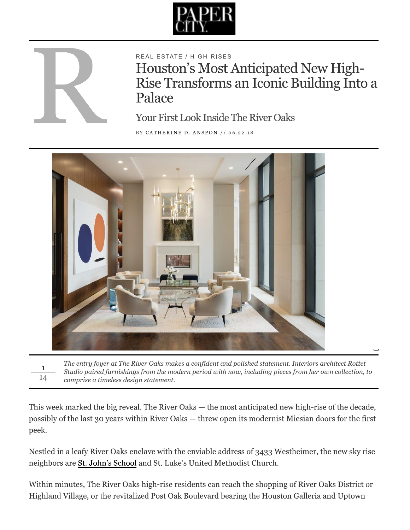



REAL ESTATE / HIGH-RISES

Houston's Most Anticipated New High-Rise Transforms an Iconic Building Into a Palace

**Your First Look Inside The River Oaks** 

BY CATHERINE D. ANSPON // 06.22.18



The entry foyer at The River Oaks makes a confident and polished statement. Interiors architect Rottet 1 Studio paired furnishings from the modern period with now, including pieces from her own collection, to 14 comprise a timeless design statement.

This week marked the big reveal. The River Oaks — the most anticipated new high-rise of the decade, possibly of the last 30 years within River Oaks - threw open its modernist Miesian doors for the first peek.

Nestled in a leafy River Oaks enclave with the enviable address of 3433 Westheimer, the new sky rise neighbors are St. John's School and St. Luke's United Methodist Church.

Within minutes, The River Oaks high-rise residents can reach the shopping of River Oaks District or Highland Village, or the revitalized Post Oak Boulevard bearing the Houston Galleria and Uptown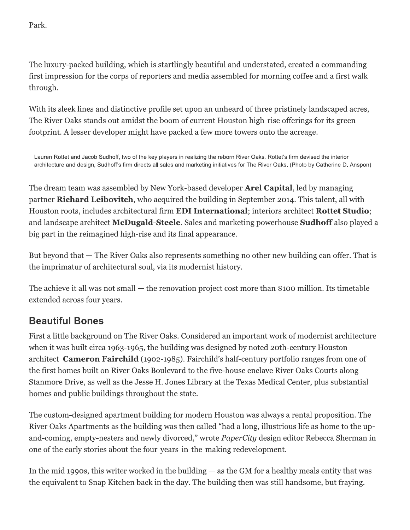Park.

The luxury-packed building, which is startlingly beautiful and understated, created a commanding first impression for the corps of reporters and media assembled for morning coffee and a first walk through.

With its sleek lines and distinctive profile set upon an unheard of three pristinely landscaped acres, The River Oaks stands out amidst the boom of current Houston high-rise offerings for its green footprint. A lesser developer might have packed a few more towers onto the acreage.

Lauren Rottet and Jacob Sudhoff, two of the key players in realizing the reborn River Oaks. Rottet's firm devised the interior architecture and design, Sudhoff's firm directs all sales and marketing initiatives for The River Oaks. (Photo by Catherine D. Anspon)

The dream team was assembled by New York-based developer **Arel Capital**, led by managing partner **Richard Leibovitch**, who acquired the building in September 2014. This talent, all with Houston roots, includes architectural firm EDI International; interiors architect Rottet Studio; and landscape architect McDugald-Steele. Sales and marketing powerhouse Sudhoff also played a big part in the reimagined high-rise and its final appearance.

But beyond that  $-$  The River Oaks also represents something no other new building can offer. That is the imprimatur of architectural soul, via its modernist history.

The achieve it all was not small  $-$  the renovation project cost more than \$100 million. Its timetable extended across four years.

#### **Beautiful Bones**

First a little background on The River Oaks. Considered an important work of modernist architecture when it was built circa 1963-1965, the building was designed by noted 20th-century Houston architect Cameron Fairchild (1902-1985). Fairchild's half-century portfolio ranges from one of the first homes built on River Oaks Boulevard to the five-house enclave River Oaks Courts along Stanmore Drive, as well as the Jesse H. Jones Library at the Texas Medical Center, plus substantial homes and public buildings throughout the state.

The custom-designed apartment building for modern Houston was always a rental proposition. The River Oaks Apartments as the building was then called "had a long, illustrious life as home to the upand-coming, empty-nesters and newly divorced," wrote PaperCity design editor Rebecca Sherman in one of the early stories about the four-years-in-the-making redevelopment.

In the mid 1990s, this writer worked in the building  $-$  as the GM for a healthy meals entity that was the equivalent to Snap Kitchen back in the day. The building then was still handsome, but fraying.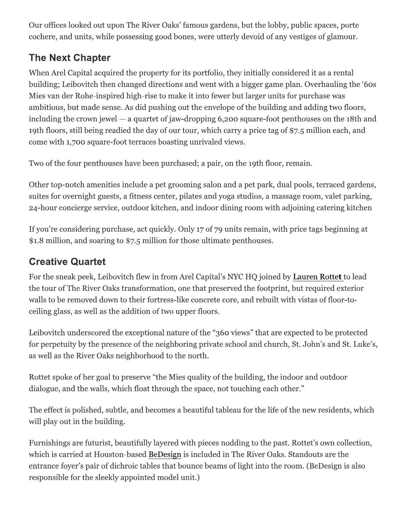Our offices looked out upon The River Oaks' famous gardens, but the lobby, public spaces, porte cochere, and units, while possessing good bones, were utterly devoid of any vestiges of glamour.

# **The Next Chapter**

When Arel Capital acquired the property for its portfolio, they initially considered it as a rental building; Leibovitch then changed directions and went with a bigger game plan. Overhauling the '60s Mies van der Rohe-inspired high-rise to make it into fewer but larger units for purchase was ambitious, but made sense. As did pushing out the envelope of the building and adding two floors, including the crown jewel  $-$  a quartet of jaw-dropping 6,200 square-foot penthouses on the 18th and 19th floors, still being readied the day of our tour, which carry a price tag of \$7.5 million each, and come with 1,700 square-foot terraces boasting unrivaled views.

Two of the four penthouses have been purchased; a pair, on the 19th floor, remain.

Other top-notch amenities include a pet grooming salon and a pet park, dual pools, terraced gardens, suites for overnight guests, a fitness center, pilates and yoga studios, a massage room, valet parking, 24-hour concierge service, outdoor kitchen, and indoor dining room with adjoining catering kitchen

If you're considering purchase, act quickly. Only 17 of 79 units remain, with price tags beginning at \$1.8 million, and soaring to \$7.5 million for those ultimate penthouses.

# **Creative Quartet**

For the sneak peek, Leibovitch flew in from Arel Capital's NYC HO joined by Lauren Rottet to lead the tour of The River Oaks transformation, one that preserved the footprint, but required exterior walls to be removed down to their fortress-like concrete core, and rebuilt with vistas of floor-toceiling glass, as well as the addition of two upper floors.

Leibovitch underscored the exceptional nature of the "360 views" that are expected to be protected for perpetuity by the presence of the neighboring private school and church, St. John's and St. Luke's, as well as the River Oaks neighborhood to the north.

Rottet spoke of her goal to preserve "the Mies quality of the building, the indoor and outdoor dialogue, and the walls, which float through the space, not touching each other."

The effect is polished, subtle, and becomes a beautiful tableau for the life of the new residents, which will play out in the building.

Furnishings are futurist, beautifully layered with pieces nodding to the past. Rottet's own collection, which is carried at Houston-based BeDesign is included in The River Oaks. Standouts are the entrance foyer's pair of dichroic tables that bounce beams of light into the room. (BeDesign is also responsible for the sleekly appointed model unit.)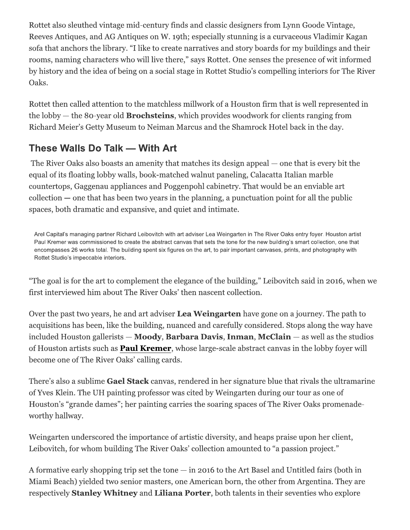Rottet also sleuthed vintage mid-century finds and classic designers from Lynn Goode Vintage, Reeves Antiques, and AG Antiques on W. 19th; especially stunning is a curvaceous Vladimir Kagan sofa that anchors the library. "I like to create narratives and story boards for my buildings and their rooms, naming characters who will live there," says Rottet. One senses the presence of wit informed by history and the idea of being on a social stage in Rottet Studio's compelling interiors for The River Oaks.

Rottet then called attention to the matchless millwork of a Houston firm that is well represented in the lobby  $-$  the 80-year old **Brochsteins**, which provides woodwork for clients ranging from Richard Meier's Getty Museum to Neiman Marcus and the Shamrock Hotel back in the day.

#### These Walls Do Talk - With Art

The River Oaks also boasts an amenity that matches its design appeal  $-$  one that is every bit the equal of its floating lobby walls, book-matched walnut paneling, Calacatta Italian marble countertops, Gaggenau appliances and Poggenpohl cabinetry. That would be an enviable art collection  $-$  one that has been two years in the planning, a punctuation point for all the public spaces, both dramatic and expansive, and quiet and intimate.

Arel Capital's managing partner Richard Leibovitch with art adviser Lea Weingarten in The River Oaks entry foyer. Houston artist Paul Kremer was commissioned to create the abstract canvas that sets the tone for the new building's smart collection, one that encompasses 26 works total. The building spent six figures on the art, to pair important canvases, prints, and photography with Rottet Studio's impeccable interiors.

"The goal is for the art to complement the elegance of the building," Leibovitch said in 2016, when we first interviewed him about The River Oaks' then nascent collection.

Over the past two years, he and art adviser Lea Weingarten have gone on a journey. The path to acquisitions has been, like the building, nuanced and carefully considered. Stops along the way have included Houston gallerists — Moody, Barbara Davis, Inman, McClain — as well as the studios of Houston artists such as **Paul Kremer**, whose large-scale abstract canvas in the lobby foyer will become one of The River Oaks' calling cards.

There's also a sublime Gael Stack canvas, rendered in her signature blue that rivals the ultramarine of Yves Klein. The UH painting professor was cited by Weingarten during our tour as one of Houston's "grande dames"; her painting carries the soaring spaces of The River Oaks promenadeworthy hallway.

Weingarten underscored the importance of artistic diversity, and heaps praise upon her client, Leibovitch, for whom building The River Oaks' collection amounted to "a passion project."

A formative early shopping trip set the tone  $-$  in 2016 to the Art Basel and Untitled fairs (both in Miami Beach) yielded two senior masters, one American born, the other from Argentina. They are respectively Stanley Whitney and Liliana Porter, both talents in their seventies who explore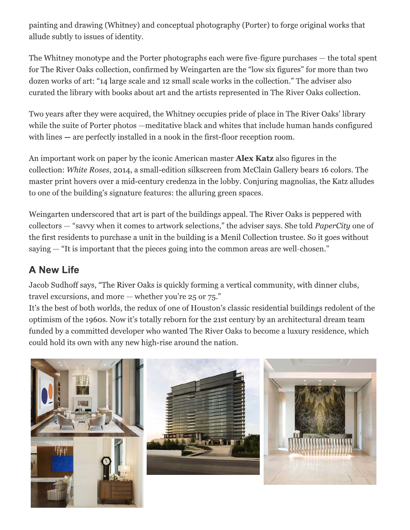painting and drawing (Whitney) and conceptual photography (Porter) to forge original works that allude subtly to issues of identity.

The Whitney monotype and the Porter photographs each were five-figure purchases — the total spent for The River Oaks collection, confirmed by Weingarten are the "low six figures" for more than two dozen works of art: "14 large scale and 12 small scale works in the collection." The adviser also curated the library with books about art and the artists represented in The River Oaks collection.

Two years after they were acquired, the Whitney occupies pride of place in The River Oaks' library while the suite of Porter photos —meditative black and whites that include human hands configured with lines  $-$  are perfectly installed in a nook in the first-floor reception room.

An important work on paper by the iconic American master **Alex Katz** also figures in the collection: White Roses, 2014, a small-edition silkscreen from McClain Gallery bears 16 colors. The master print hovers over a mid-century credenza in the lobby. Conjuring magnolias, the Katz alludes to one of the building's signature features: the alluring green spaces.

Weingarten underscored that art is part of the buildings appeal. The River Oaks is peppered with collectors — "savvy when it comes to artwork selections," the adviser says. She told *PaperCity* one of the first residents to purchase a unit in the building is a Menil Collection trustee. So it goes without saying  $-$  "It is important that the pieces going into the common areas are well-chosen."

### **A New Life**

Jacob Sudhoff says, "The River Oaks is quickly forming a vertical community, with dinner clubs, travel excursions, and more  $-$  whether you're 25 or 75."

It's the best of both worlds, the redux of one of Houston's classic residential buildings redolent of the optimism of the 1960s. Now it's totally reborn for the 21st century by an architectural dream team funded by a committed developer who wanted The River Oaks to become a luxury residence, which could hold its own with any new high-rise around the nation.